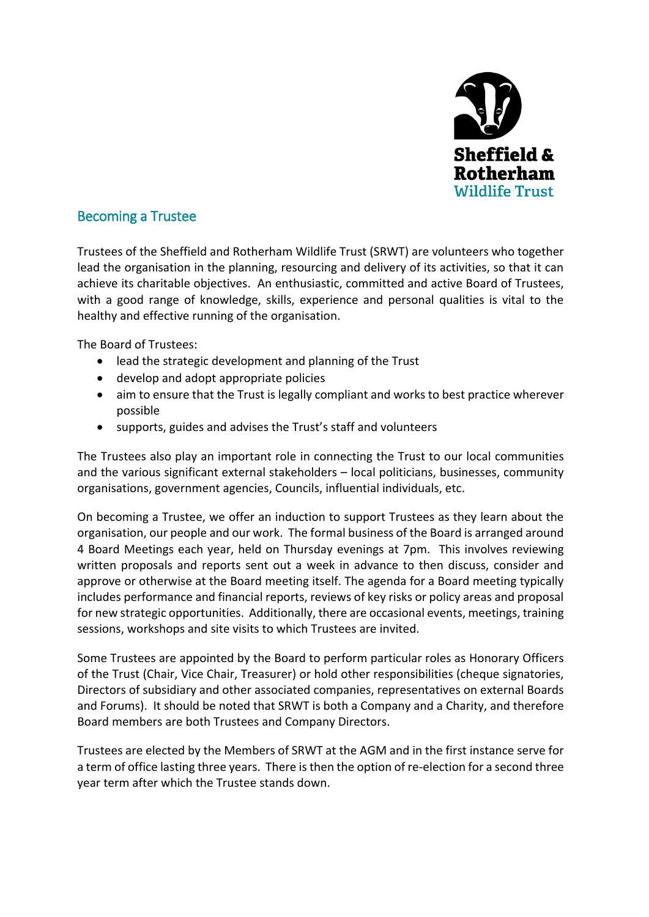

# Becoming a Trustee

Trustees of the Sheffield and Rotherham Wildlife Trust (SRWT) are volunteers who together lead the organisation in the planning, resourcing and delivery of its activities, so that it can achieve its charitable objectives. An enthusiastic, committed and active Board of Trustees, with a good range of knowledge, skills, experience and personal qualities is vital to the healthy and effective running of the organisation.

The Board of Trustees:

- lead the strategic development and planning of the Trust
- develop and adopt appropriate policies
- aim to ensure that the Trust is legally compliant and works to best practice wherever possible
- supports, guides and advises the Trust's staff and volunteers

The Trustees also play an important role in connecting the Trust to our local communities and the various significant external stakeholders – local politicians, businesses, community organisations, government agencies, Councils, influential individuals, etc.

On becoming a Trustee, we offer an induction to support Trustees as they learn about the organisation, our people and our work. The formal business of the Board is arranged around 4 Board Meetings each year, held on Thursday evenings at 7pm. This involves reviewing written proposals and reports sent out a week in advance to then discuss, consider and approve or otherwise at the Board meeting itself. The agenda for a Board meeting typically includes performance and financial reports, reviews of key risks or policy areas and proposal for new strategic opportunities. Additionally, there are occasional events, meetings, training sessions, workshops and site visits to which Trustees are invited.

Some Trustees are appointed by the Board to perform particular roles as Honorary Officers of the Trust (Chair, Vice Chair, Treasurer) or hold other responsibilities (cheque signatories, Directors of subsidiary and other associated companies, representatives on external Boards and Forums). It should be noted that SRWT is both a Company and a Charity, and therefore Board members are both Trustees and Company Directors.

Trustees are elected by the Members of SRWT at the AGM and in the first instance serve for a term of office lasting three years. There is then the option of re-election for a second three year term after which the Trustee stands down.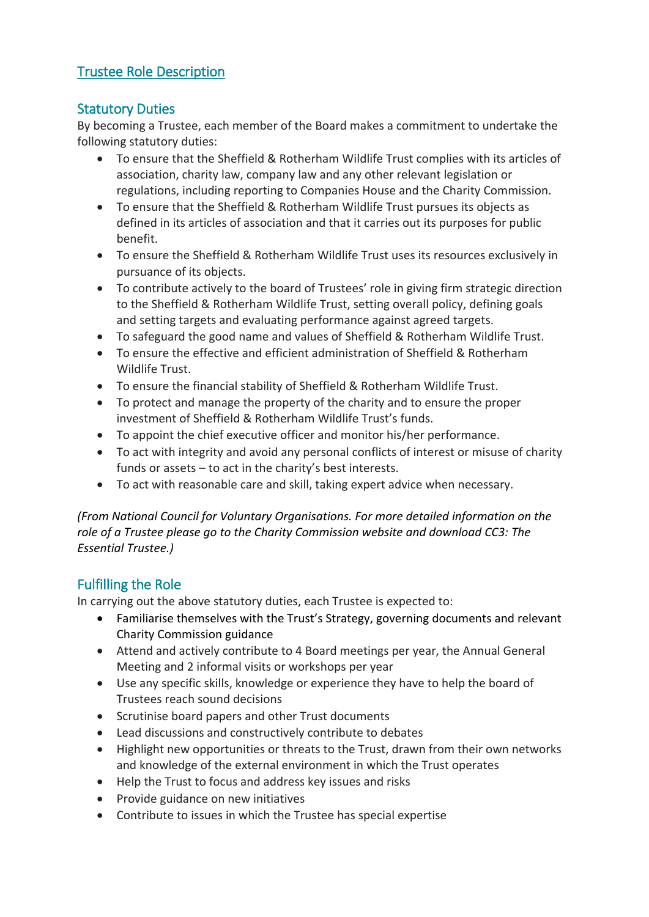# Trustee Role Description

# Statutory Duties

By becoming a Trustee, each member of the Board makes a commitment to undertake the following statutory duties:

- To ensure that the Sheffield & Rotherham Wildlife Trust complies with its articles of association, charity law, company law and any other relevant legislation or regulations, including reporting to Companies House and the Charity Commission.
- To ensure that the Sheffield & Rotherham Wildlife Trust pursues its objects as defined in its articles of association and that it carries out its purposes for public benefit.
- To ensure the Sheffield & Rotherham Wildlife Trust uses its resources exclusively in pursuance of its objects.
- To contribute actively to the board of Trustees' role in giving firm strategic direction to the Sheffield & Rotherham Wildlife Trust, setting overall policy, defining goals and setting targets and evaluating performance against agreed targets.
- To safeguard the good name and values of Sheffield & Rotherham Wildlife Trust.
- To ensure the effective and efficient administration of Sheffield & Rotherham Wildlife Trust.
- To ensure the financial stability of Sheffield & Rotherham Wildlife Trust.
- To protect and manage the property of the charity and to ensure the proper investment of Sheffield & Rotherham Wildlife Trust's funds.
- To appoint the chief executive officer and monitor his/her performance.
- To act with integrity and avoid any personal conflicts of interest or misuse of charity funds or assets – to act in the charity's best interests.
- To act with reasonable care and skill, taking expert advice when necessary.

*(From National Council for Voluntary Organisations. For more detailed information on the role of a Trustee please go to the Charity Commission website and download CC3: The Essential Trustee.)*

# Fulfilling the Role

In carrying out the above statutory duties, each Trustee is expected to:

- Familiarise themselves with the Trust's Strategy, governing documents and relevant Charity Commission guidance
- Attend and actively contribute to 4 Board meetings per year, the Annual General Meeting and 2 informal visits or workshops per year
- Use any specific skills, knowledge or experience they have to help the board of Trustees reach sound decisions
- Scrutinise board papers and other Trust documents
- Lead discussions and constructively contribute to debates
- Highlight new opportunities or threats to the Trust, drawn from their own networks and knowledge of the external environment in which the Trust operates
- Help the Trust to focus and address key issues and risks
- Provide guidance on new initiatives
- Contribute to issues in which the Trustee has special expertise